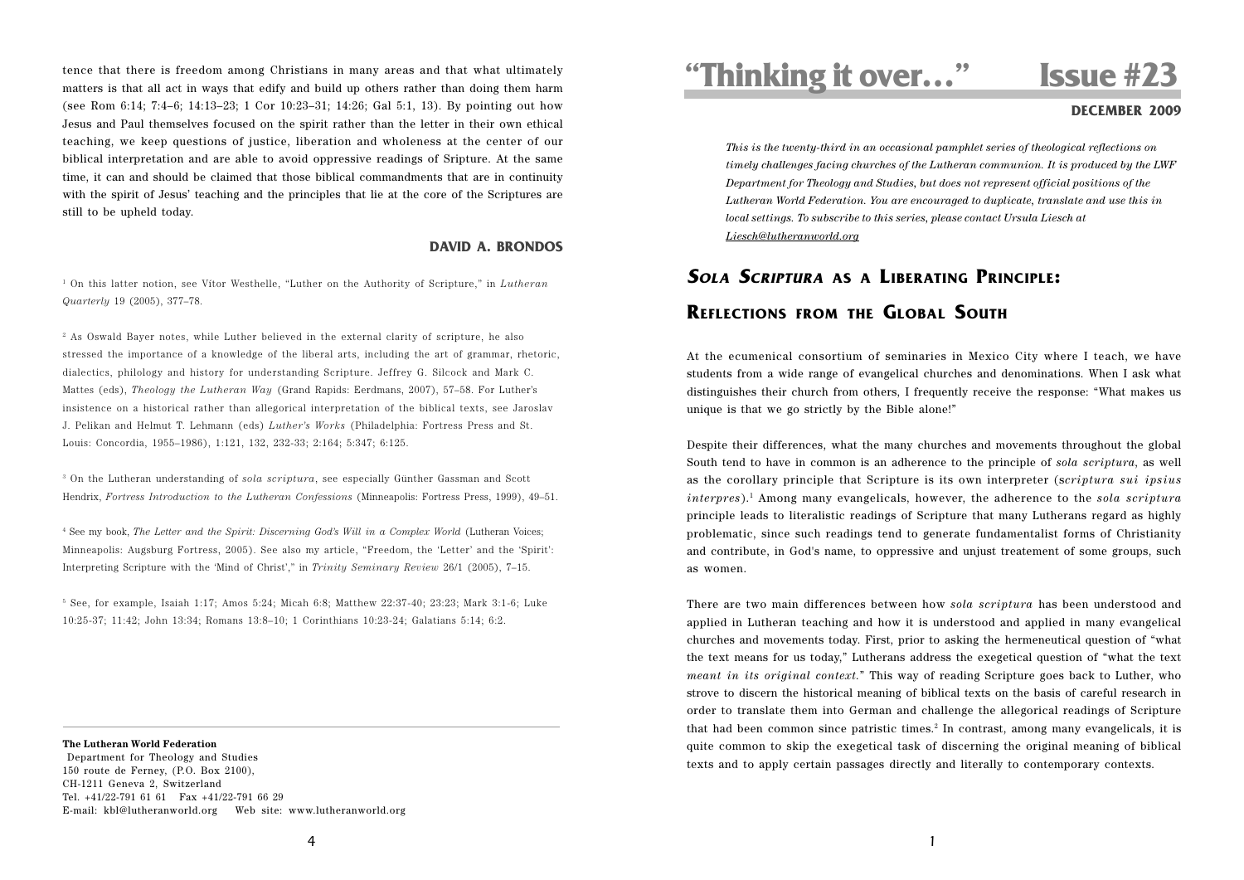tence that there is freedom among Christians in many areas and that what ultimately matters is that all act in ways that edify and build up others rather than doing them harm (see Rom 6:14; 7:4–6; 14:13–23; 1 Cor 10:23–31; 14:26; Gal 5:1, 13). By pointing out how Jesus and Paul themselves focused on the spirit rather than the letter in their own ethical teaching, we keep questions of justice, liberation and wholeness at the center of our biblical interpretation and are able to avoid oppressive readings of Sripture. At the same time, it can and should be claimed that those biblical commandments that are in continuity with the spirit of Jesus' teaching and the principles that lie at the core of the Scriptures are still to be upheld today.

### **DAVID A. BRONDOS**

1 On this latter notion, see Vítor Westhelle, "Luther on the Authority of Scripture," in *Lutheran Quarterly* 19 (2005), 377–78.

2 As Oswald Bayer notes, while Luther believed in the external clarity of scripture, he also stressed the importance of a knowledge of the liberal arts, including the art of grammar, rhetoric, dialectics, philology and history for understanding Scripture. Jeffrey G. Silcock and Mark C. Mattes (eds), *Theology the Lutheran Way* (Grand Rapids: Eerdmans, 2007), 57–58. For Luther's insistence on a historical rather than allegorical interpretation of the biblical texts, see Jaroslav J. Pelikan and Helmut T. Lehmann (eds) *Luther's Works* (Philadelphia: Fortress Press and St. Louis: Concordia, 1955–1986), 1:121, 132, 232-33; 2:164; 5:347; 6:125.

3 On the Lutheran understanding of *sola scriptura*, see especially Günther Gassman and Scott Hendrix, *Fortress Introduction to the Lutheran Confessions* (Minneapolis: Fortress Press, 1999), 49–51.

<sup>4</sup> See my book, *The Letter and the Spirit: Discerning God's Will in a Complex World (Lutheran Voices;* Minneapolis: Augsburg Fortress, 2005). See also my article, "Freedom, the 'Letter' and the 'Spirit': Interpreting Scripture with the 'Mind of Christ'," in *Trinity Seminary Review* 26/1 (2005), 7–15.

 $5$  See, for example, Isaiah 1:17; Amos  $5:24$ ; Micah 6:8; Matthew  $22:37-40$ ;  $23:23$ ; Mark  $3:1-6$ ; Luke 10:25-37; 11:42; John 13:34; Romans 13:8–10; 1 Corinthians 10:23-24; Galatians 5:14; 6:2.

#### **The Lutheran World Federation**

 Department for Theology and Studies 150 route de Ferney, (P.O. Box 2100), CH-1211 Geneva 2, Switzerland Tel. +41/22-791 61 61 Fax +41/22-791 66 29 E-mail: kbl@lutheranworld.org Web site: www.lutheranworld.org

# **"Thinking it over…" Issue #23**

#### **DECEMBER 2009**

*This is the twenty-third in an occasional pamphlet series of theological reflections on timely challenges facing churches of the Lutheran communion. It is produced by the LWF Department for Theology and Studies, but does not represent official positions of the Lutheran World Federation. You are encouraged to duplicate, translate and use this in local settings. To subscribe to this series, please contact Ursula Liesch at Liesch@lutheranworld.org*

## **<sup>S</sup>OLA SCRIPTURA AS A LIBERATING PRINCIPLE:**

## **REFLECTIONS FROM THE GLOBAL SOUTH**

At the ecumenical consortium of seminaries in Mexico City where I teach, we have students from a wide range of evangelical churches and denominations. When I ask what distinguishes their church from others, I frequently receive the response: "What makes us unique is that we go strictly by the Bible alone!"

Despite their differences, what the many churches and movements throughout the global South tend to have in common is an adherence to the principle of *sola scriptura*, as well as the corollary principle that Scripture is its own interpreter (s*criptura sui ipsius interpres*).1 Among many evangelicals, however, the adherence to the *sola scriptura* principle leads to literalistic readings of Scripture that many Lutherans regard as highly problematic, since such readings tend to generate fundamentalist forms of Christianity and contribute, in God's name, to oppressive and unjust treatement of some groups, such as women.

There are two main differences between how *sola scriptura* has been understood and applied in Lutheran teaching and how it is understood and applied in many evangelical churches and movements today. First, prior to asking the hermeneutical question of "what the text means for us today," Lutherans address the exegetical question of "what the text *meant in its original context.*" This way of reading Scripture goes back to Luther, who strove to discern the historical meaning of biblical texts on the basis of careful research in order to translate them into German and challenge the allegorical readings of Scripture that had been common since patristic times.2 In contrast, among many evangelicals, it is quite common to skip the exegetical task of discerning the original meaning of biblical texts and to apply certain passages directly and literally to contemporary contexts.